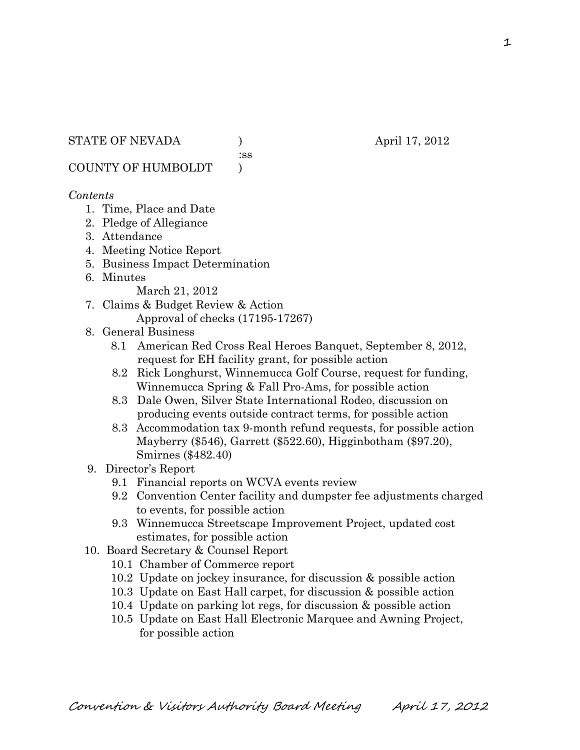:ss

COUNTY OF HUMBOLDT )

#### *Contents*

- 1. Time, Place and Date
- 2. Pledge of Allegiance
- 3. Attendance
- 4. Meeting Notice Report
- 5. Business Impact Determination
- 6. Minutes

March 21, 2012

- 7. Claims & Budget Review & Action Approval of checks (17195-17267)
- 8. General Business
	- 8.1 American Red Cross Real Heroes Banquet, September 8, 2012, request for EH facility grant, for possible action
	- 8.2 Rick Longhurst, Winnemucca Golf Course, request for funding, Winnemucca Spring & Fall Pro-Ams, for possible action
	- 8.3 Dale Owen, Silver State International Rodeo, discussion on producing events outside contract terms, for possible action
	- 8.3 Accommodation tax 9-month refund requests, for possible action Mayberry (\$546), Garrett (\$522.60), Higginbotham (\$97.20), Smirnes (\$482.40)
- 9. Director's Report
	- 9.1 Financial reports on WCVA events review
	- 9.2 Convention Center facility and dumpster fee adjustments charged to events, for possible action
	- 9.3 Winnemucca Streetscape Improvement Project, updated cost estimates, for possible action
- 10. Board Secretary & Counsel Report
	- 10.1 Chamber of Commerce report
	- 10.2 Update on jockey insurance, for discussion & possible action
	- 10.3 Update on East Hall carpet, for discussion & possible action
	- 10.4 Update on parking lot regs, for discussion & possible action
	- 10.5 Update on East Hall Electronic Marquee and Awning Project, for possible action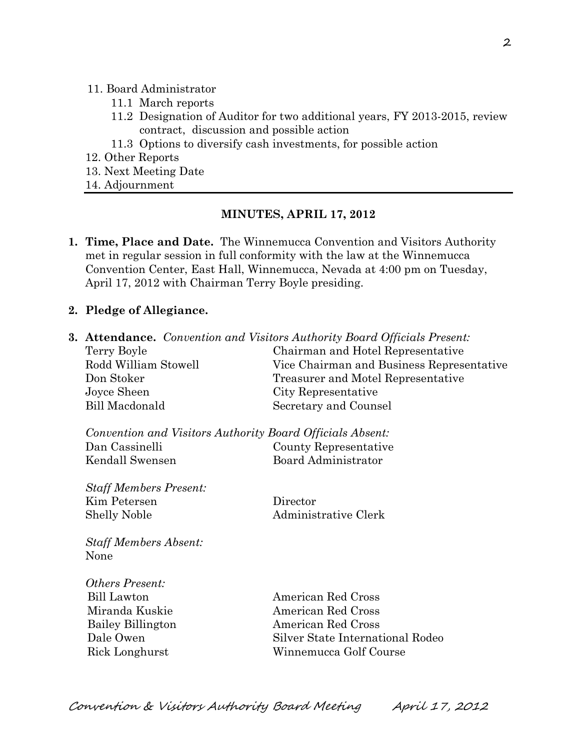#### 11. Board Administrator

- 11.1 March reports
- 11.2 Designation of Auditor for two additional years, FY 2013-2015, review contract, discussion and possible action
- 11.3 Options to diversify cash investments, for possible action
- 12. Other Reports
- 13. Next Meeting Date
- 14. Adjournment

#### **MINUTES, APRIL 17, 2012**

- **1. Time, Place and Date.** The Winnemucca Convention and Visitors Authority met in regular session in full conformity with the law at the Winnemucca Convention Center, East Hall, Winnemucca, Nevada at 4:00 pm on Tuesday, April 17, 2012 with Chairman Terry Boyle presiding.
- **2. Pledge of Allegiance.**

|                                                           | <b>3. Attendance.</b> Convention and Visitors Authority Board Officials Present: |  |
|-----------------------------------------------------------|----------------------------------------------------------------------------------|--|
| Terry Boyle                                               | Chairman and Hotel Representative                                                |  |
| Rodd William Stowell                                      | Vice Chairman and Business Representative                                        |  |
| Don Stoker                                                | Treasurer and Motel Representative                                               |  |
| Joyce Sheen                                               | City Representative                                                              |  |
| <b>Bill Macdonald</b>                                     | Secretary and Counsel                                                            |  |
| Convention and Visitors Authority Board Officials Absent: |                                                                                  |  |
| Dan Cassinelli                                            | County Representative                                                            |  |
| Kendall Swensen                                           | Board Administrator                                                              |  |
| <b>Staff Members Present:</b>                             |                                                                                  |  |
| Kim Petersen                                              | Director                                                                         |  |
| <b>Shelly Noble</b>                                       | Administrative Clerk                                                             |  |
| <b>Staff Members Absent:</b><br>None                      |                                                                                  |  |
| Others Present:                                           |                                                                                  |  |
| <b>Bill Lawton</b>                                        | American Red Cross                                                               |  |
| Miranda Kuskie                                            | American Red Cross                                                               |  |
| <b>Bailey Billington</b>                                  | American Red Cross                                                               |  |
| Dale Owen                                                 | Silver State International Rodeo                                                 |  |
| Rick Longhurst                                            | Winnemucca Golf Course                                                           |  |
|                                                           |                                                                                  |  |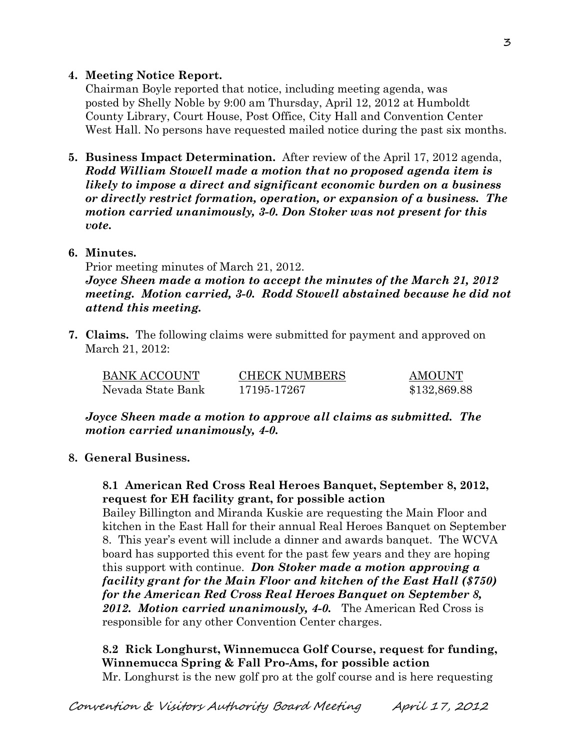### **4. Meeting Notice Report.**

Chairman Boyle reported that notice, including meeting agenda, was posted by Shelly Noble by 9:00 am Thursday, April 12, 2012 at Humboldt County Library, Court House, Post Office, City Hall and Convention Center West Hall. No persons have requested mailed notice during the past six months.

- **5. Business Impact Determination.** After review of the April 17, 2012 agenda, *Rodd William Stowell made a motion that no proposed agenda item is likely to impose a direct and significant economic burden on a business or directly restrict formation, operation, or expansion of a business. The motion carried unanimously, 3-0. Don Stoker was not present for this vote.*
- **6. Minutes.**

Prior meeting minutes of March 21, 2012.

*Joyce Sheen made a motion to accept the minutes of the March 21, 2012 meeting. Motion carried, 3-0. Rodd Stowell abstained because he did not attend this meeting.* 

**7. Claims.** The following claims were submitted for payment and approved on March 21, 2012:

| BANK ACCOUNT      | <b>CHECK NUMBERS</b> | <b>AMOUNT</b> |
|-------------------|----------------------|---------------|
| Nevada State Bank | 17195-17267          | \$132,869.88  |

*Joyce Sheen made a motion to approve all claims as submitted. The motion carried unanimously, 4-0.*

**8. General Business.**

**8.1 American Red Cross Real Heroes Banquet, September 8, 2012, request for EH facility grant, for possible action**

Bailey Billington and Miranda Kuskie are requesting the Main Floor and kitchen in the East Hall for their annual Real Heroes Banquet on September 8. This year's event will include a dinner and awards banquet. The WCVA board has supported this event for the past few years and they are hoping this support with continue. *Don Stoker made a motion approving a facility grant for the Main Floor and kitchen of the East Hall (\$750) for the American Red Cross Real Heroes Banquet on September 8, 2012. Motion carried unanimously, 4-0.* The American Red Cross is responsible for any other Convention Center charges.

**8.2 Rick Longhurst, Winnemucca Golf Course, request for funding, Winnemucca Spring & Fall Pro-Ams, for possible action** Mr. Longhurst is the new golf pro at the golf course and is here requesting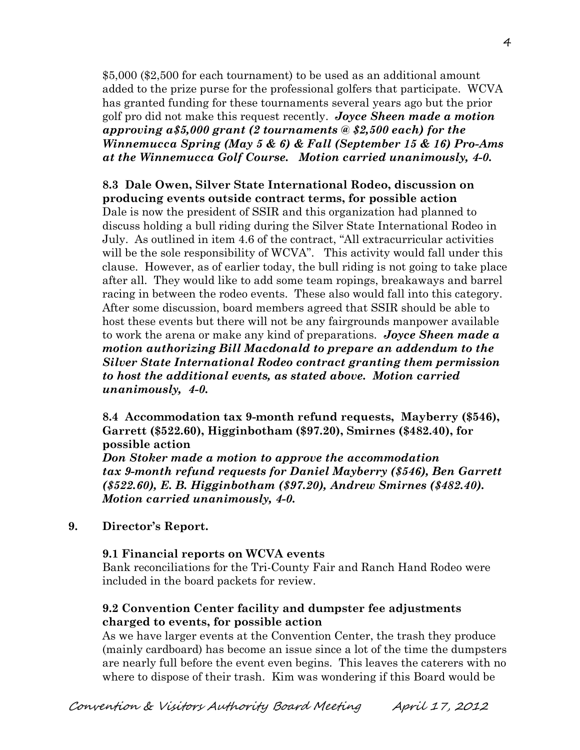\$5,000 (\$2,500 for each tournament) to be used as an additional amount added to the prize purse for the professional golfers that participate. WCVA has granted funding for these tournaments several years ago but the prior golf pro did not make this request recently. *Joyce Sheen made a motion approving a\$5,000 grant (2 tournaments @ \$2,500 each) for the Winnemucca Spring (May 5 & 6) & Fall (September 15 & 16) Pro-Ams at the Winnemucca Golf Course. Motion carried unanimously, 4-0.* 

### **8.3 Dale Owen, Silver State International Rodeo, discussion on producing events outside contract terms, for possible action**

Dale is now the president of SSIR and this organization had planned to discuss holding a bull riding during the Silver State International Rodeo in July. As outlined in item 4.6 of the contract, "All extracurricular activities will be the sole responsibility of WCVA". This activity would fall under this clause. However, as of earlier today, the bull riding is not going to take place after all. They would like to add some team ropings, breakaways and barrel racing in between the rodeo events. These also would fall into this category. After some discussion, board members agreed that SSIR should be able to host these events but there will not be any fairgrounds manpower available to work the arena or make any kind of preparations. *Joyce Sheen made a motion authorizing Bill Macdonald to prepare an addendum to the Silver State International Rodeo contract granting them permission to host the additional events, as stated above. Motion carried unanimously, 4-0.* 

**8.4 Accommodation tax 9-month refund requests, Mayberry (\$546), Garrett (\$522.60), Higginbotham (\$97.20), Smirnes (\$482.40), for possible action**

*Don Stoker made a motion to approve the accommodation tax 9-month refund requests for Daniel Mayberry (\$546), Ben Garrett (\$522.60), E. B. Higginbotham (\$97.20), Andrew Smirnes (\$482.40). Motion carried unanimously, 4-0.*

**9. Director's Report.**

#### **9.1 Financial reports on WCVA events**

Bank reconciliations for the Tri-County Fair and Ranch Hand Rodeo were included in the board packets for review.

### **9.2 Convention Center facility and dumpster fee adjustments charged to events, for possible action**

As we have larger events at the Convention Center, the trash they produce (mainly cardboard) has become an issue since a lot of the time the dumpsters are nearly full before the event even begins. This leaves the caterers with no where to dispose of their trash. Kim was wondering if this Board would be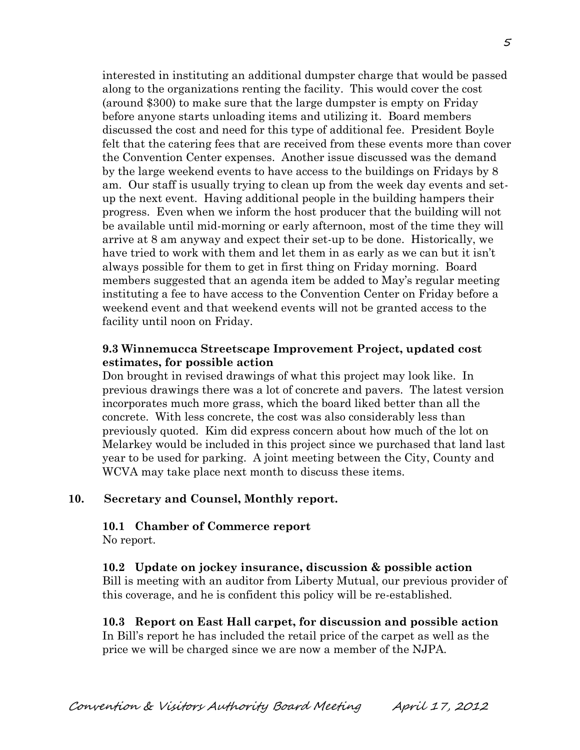interested in instituting an additional dumpster charge that would be passed along to the organizations renting the facility. This would cover the cost (around \$300) to make sure that the large dumpster is empty on Friday before anyone starts unloading items and utilizing it. Board members discussed the cost and need for this type of additional fee. President Boyle felt that the catering fees that are received from these events more than cover the Convention Center expenses. Another issue discussed was the demand by the large weekend events to have access to the buildings on Fridays by 8 am. Our staff is usually trying to clean up from the week day events and setup the next event. Having additional people in the building hampers their progress. Even when we inform the host producer that the building will not be available until mid-morning or early afternoon, most of the time they will arrive at 8 am anyway and expect their set-up to be done. Historically, we have tried to work with them and let them in as early as we can but it isn't always possible for them to get in first thing on Friday morning. Board members suggested that an agenda item be added to May's regular meeting instituting a fee to have access to the Convention Center on Friday before a weekend event and that weekend events will not be granted access to the facility until noon on Friday.

#### **9.3 Winnemucca Streetscape Improvement Project, updated cost estimates, for possible action**

Don brought in revised drawings of what this project may look like. In previous drawings there was a lot of concrete and pavers. The latest version incorporates much more grass, which the board liked better than all the concrete. With less concrete, the cost was also considerably less than previously quoted. Kim did express concern about how much of the lot on Melarkey would be included in this project since we purchased that land last year to be used for parking. A joint meeting between the City, County and WCVA may take place next month to discuss these items.

#### **10. Secretary and Counsel, Monthly report.**

#### **10.1 Chamber of Commerce report**

No report.

#### **10.2 Update on jockey insurance, discussion & possible action**

Bill is meeting with an auditor from Liberty Mutual, our previous provider of this coverage, and he is confident this policy will be re-established.

#### **10.3 Report on East Hall carpet, for discussion and possible action** In Bill's report he has included the retail price of the carpet as well as the

price we will be charged since we are now a member of the NJPA.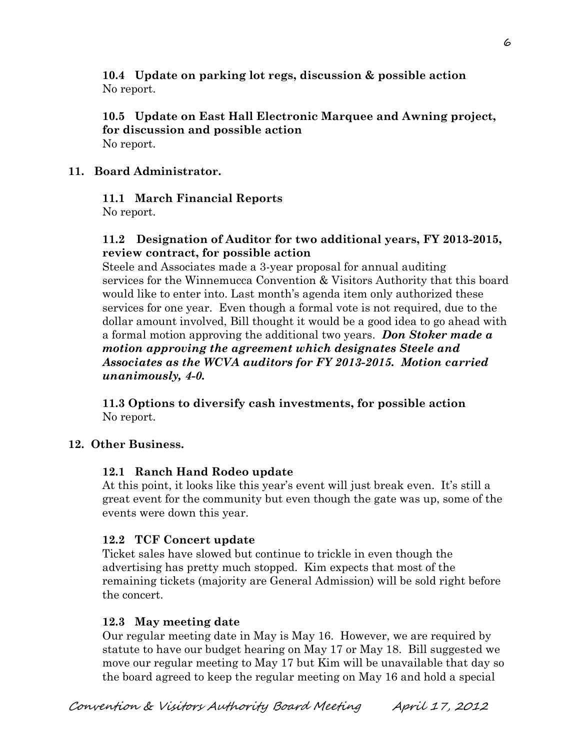**10.4 Update on parking lot regs, discussion & possible action** No report.

### **10.5 Update on East Hall Electronic Marquee and Awning project, for discussion and possible action** No report.

# **11. Board Administrator.**

# **11.1 March Financial Reports**

No report.

# **11.2 Designation of Auditor for two additional years, FY 2013-2015, review contract, for possible action**

Steele and Associates made a 3-year proposal for annual auditing services for the Winnemucca Convention & Visitors Authority that this board would like to enter into. Last month's agenda item only authorized these services for one year. Even though a formal vote is not required, due to the dollar amount involved, Bill thought it would be a good idea to go ahead with a formal motion approving the additional two years. *Don Stoker made a motion approving the agreement which designates Steele and Associates as the WCVA auditors for FY 2013-2015. Motion carried unanimously, 4-0.*

**11.3 Options to diversify cash investments, for possible action** No report.

# **12. Other Business.**

# **12.1 Ranch Hand Rodeo update**

At this point, it looks like this year's event will just break even. It's still a great event for the community but even though the gate was up, some of the events were down this year.

# **12.2 TCF Concert update**

Ticket sales have slowed but continue to trickle in even though the advertising has pretty much stopped. Kim expects that most of the remaining tickets (majority are General Admission) will be sold right before the concert.

# **12.3 May meeting date**

Our regular meeting date in May is May 16. However, we are required by statute to have our budget hearing on May 17 or May 18. Bill suggested we move our regular meeting to May 17 but Kim will be unavailable that day so the board agreed to keep the regular meeting on May 16 and hold a special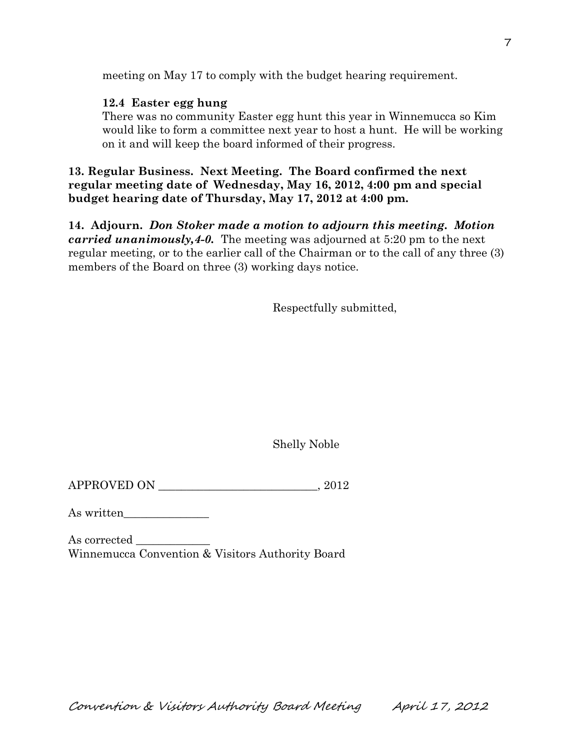meeting on May 17 to comply with the budget hearing requirement.

### **12.4 Easter egg hung**

There was no community Easter egg hunt this year in Winnemucca so Kim would like to form a committee next year to host a hunt. He will be working on it and will keep the board informed of their progress.

# **13. Regular Business. Next Meeting. The Board confirmed the next regular meeting date of Wednesday, May 16, 2012, 4:00 pm and special budget hearing date of Thursday, May 17, 2012 at 4:00 pm.**

**14. Adjourn.** *Don Stoker made a motion to adjourn this meeting. Motion carried unanimously,4-0.* The meeting was adjourned at 5:20 pm to the next regular meeting, or to the earlier call of the Chairman or to the call of any three (3) members of the Board on three (3) working days notice.

Respectfully submitted,

Shelly Noble

 $APPROVED ON$ ,  $2012$ 

As written\_\_\_\_\_\_\_\_\_\_\_\_\_\_\_

As corrected \_\_\_\_\_\_\_\_\_\_\_\_\_ Winnemucca Convention & Visitors Authority Board